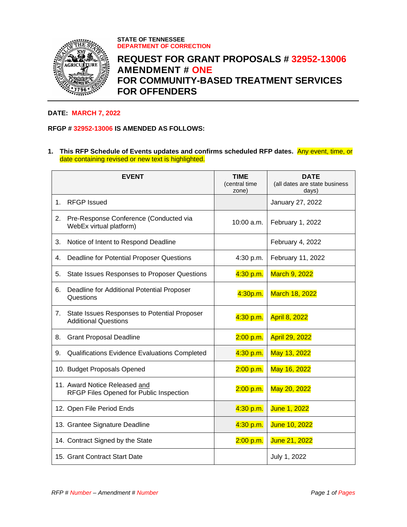

**STATE OF TENNESSEE DEPARTMENT OF CORRECTION**

## **REQUEST FOR GRANT PROPOSALS # 32952-13006 AMENDMENT # ONE FOR COMMUNITY-BASED TREATMENT SERVICES FOR OFFENDERS**

## **DATE: MARCH 7, 2022**

## **RFGP # 32952-13006 IS AMENDED AS FOLLOWS:**

**1. This RFP Schedule of Events updates and confirms scheduled RFP dates.** Any event, time, or date containing revised or new text is highlighted.

|    | <b>EVENT</b>                                                                | <b>TIME</b><br>(central time<br>zone) | <b>DATE</b><br>(all dates are state business<br>days) |
|----|-----------------------------------------------------------------------------|---------------------------------------|-------------------------------------------------------|
| 1. | <b>RFGP Issued</b>                                                          |                                       | January 27, 2022                                      |
| 2. | Pre-Response Conference (Conducted via<br>WebEx virtual platform)           | $10:00$ a.m.                          | February 1, 2022                                      |
| 3. | Notice of Intent to Respond Deadline                                        |                                       | February 4, 2022                                      |
| 4. | Deadline for Potential Proposer Questions                                   | 4:30 p.m.                             | February 11, 2022                                     |
| 5. | State Issues Responses to Proposer Questions                                | 4:30 p.m.                             | March 9, 2022                                         |
| 6. | Deadline for Additional Potential Proposer<br>Questions                     | 4:30p.m.                              | March 18, 2022                                        |
| 7. | State Issues Responses to Potential Proposer<br><b>Additional Questions</b> | 4:30 p.m.                             | <b>April 8, 2022</b>                                  |
| 8. | <b>Grant Proposal Deadline</b>                                              | 2:00 p.m.                             | <b>April 29, 2022</b>                                 |
| 9. | Qualifications Evidence Evaluations Completed                               | 4:30 p.m.                             | May 13, 2022                                          |
|    | 10. Budget Proposals Opened                                                 | 2:00 p.m.                             | May 16, 2022                                          |
|    | 11. Award Notice Released and<br>RFGP Files Opened for Public Inspection    | 2:00 p.m.                             | May 20, 2022                                          |
|    | 12. Open File Period Ends                                                   | 4:30 p.m.                             | June 1, 2022                                          |
|    | 13. Grantee Signature Deadline                                              | 4:30 p.m.                             | June 10, 2022                                         |
|    | 14. Contract Signed by the State                                            | 2:00 p.m.                             | June 21, 2022                                         |
|    | 15. Grant Contract Start Date                                               |                                       | July 1, 2022                                          |